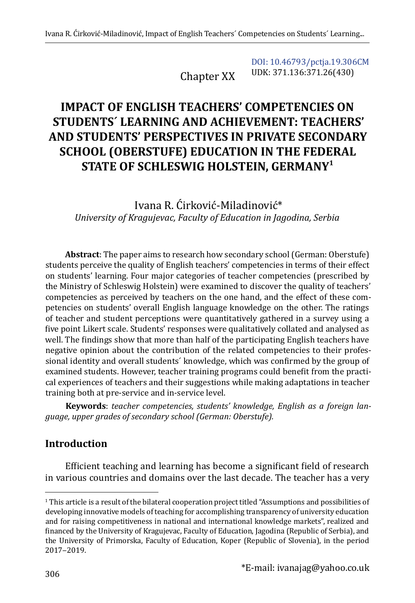Chapter XX

[DOI: 10.46793/pctja.19.306CM](https://doi.org/10.46793/pctja.19.306CM) UDK: 371.136:371.26(430)

# **IMPACT OF ENGLISH TEACHERS' COMPETENCIES ON STUDENTS´ LEARNING AND ACHIEVEMENT: TEACHERS' AND STUDENTS' PERSPECTIVES IN PRIVATE SECONDARY SCHOOL (OBERSTUFE) EDUCATION IN THE FEDERAL STATE OF SCHLESWIG HOLSTEIN, GERMANY1**

Ivana R. Ćirković-Miladinović\* *University of Kragujevac, Faculty of Education in Jagodina, Serbia*

**Abstract**: The paper aims to research how secondary school (German: Oberstufe) students perceive the quality of English teachers' competencies in terms of their effect on students' learning. Four major categories of teacher competencies (prescribed by the Ministry of Schleswig Holstein) were examined to discover the quality of teachers' competencies as perceived by teachers on the one hand, and the effect of these competencies on students' overall English language knowledge on the other. The ratings of teacher and student perceptions were quantitatively gathered in a survey using a five point Likert scale. Students' responses were qualitatively collated and analysed as well. The findings show that more than half of the participating English teachers have negative opinion about the contribution of the related competencies to their professional identity and overall students´ knowledge, which was confirmed by the group of examined students. However, teacher training programs could benefit from the practical experiences of teachers and their suggestions while making adaptations in teacher training both at pre-service and in-service level.

**Keywords**: *teacher competencies, students' knowledge, English as a foreign language, upper grades of secondary school (German: Oberstufe).*

# **Introduction**

Efficient teaching and learning has become a significant field of research in various countries and domains over the last decade. The teacher has a very

<sup>1</sup> This article is a result of the bilateral cooperation project titled "Assumptions and possibilities of developing innovative models of teaching for accomplishing transparency of university education and for raising competitiveness in national and international knowledge markets", realized and financed by the University of Kragujevac, Faculty of Education, Jagodina (Republic of Serbia), and the University of Primorska, Faculty of Education, Koper (Republic of Slovenia), in the period 2017‒2019.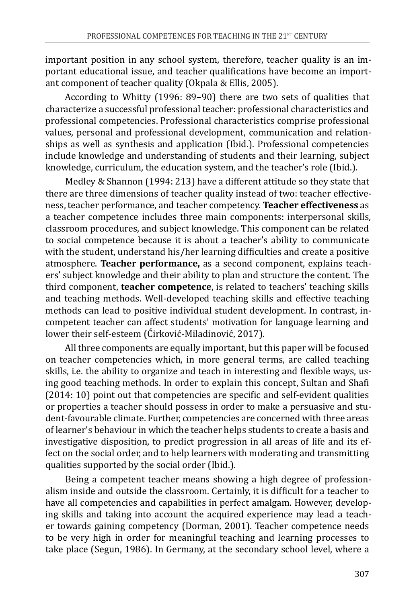important position in any school system, therefore, teacher quality is an important educational issue, and teacher qualifications have become an important component of teacher quality (Okpala & Ellis, 2005).

According to Whitty (1996: 89–90) there are two sets of qualities that characterize a successful professional teacher: professional characteristics and professional competencies. Professional characteristics comprise professional values, personal and professional development, communication and relationships as well as synthesis and application (Ibid.). Professional competencies include knowledge and understanding of students and their learning, subject knowledge, curriculum, the education system, and the teacher's role (Ibid.).

Medley & Shannon (1994: 213) have a different attitude so they state that there are three dimensions of teacher quality instead of two: teacher effectiveness, teacher performance, and teacher competency. **Teacher effectiveness** as a teacher competence includes three main components: interpersonal skills, classroom procedures, and subject knowledge. This component can be related to social competence because it is about a teacher's ability to communicate with the student, understand his/her learning difficulties and create a positive atmosphere. **Teacher performance,** as a second component, explains teachers' subject knowledge and their ability to plan and structure the content. The third component, **teacher competence**, is related to teachers' teaching skills and teaching methods. Well-developed teaching skills and effective teaching methods can lead to positive individual student development. In contrast, incompetent teacher can affect students' motivation for language learning and lower their self-esteem (Ćirković-Miladinović, 2017).

All three components are equally important, but this paper will be focused on teacher competencies which, in more general terms, are called teaching skills, i.e. the ability to organize and teach in interesting and flexible ways, using good teaching methods. In order to explain this concept, Sultan and Shafi (2014: 10) point out that competencies are specific and self-evident qualities or properties a teacher should possess in order to make a persuasive and student-favourable climate. Further, competencies are concerned with three areas of learner's behaviour in which the teacher helps students to create a basis and investigative disposition, to predict progression in all areas of life and its effect on the social order, and to help learners with moderating and transmitting qualities supported by the social order (Ibid.).

Being a competent teacher means showing a high degree of professionalism inside and outside the classroom. Certainly, it is difficult for a teacher to have all competencies and capabilities in perfect amalgam. However, developing skills and taking into account the acquired experience may lead a teacher towards gaining competency (Dorman, 2001). Teacher competence needs to be very high in order for meaningful teaching and learning processes to take place (Segun, 1986). In Germany, at the secondary school level, where a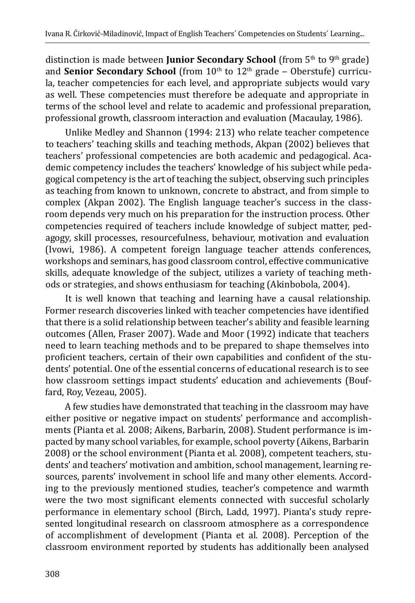distinction is made between **Junior Secondary School** (from 5<sup>th</sup> to 9<sup>th</sup> grade) and **Senior Secondary School** (from 10<sup>th</sup> to 12<sup>th</sup> grade – Oberstufe) curricula, teacher competencies for each level, and appropriate subjects would vary as well. These competencies must therefore be adequate and appropriate in terms of the school level and relate to academic and professional preparation, professional growth, classroom interaction and evaluation (Macaulay, 1986).

Unlike Medley and Shannon (1994: 213) who relate teacher competence to teachers' teaching skills and teaching methods, Akpan (2002) believes that teachers' professional competencies are both academic and pedagogical. Academic competency includes the teachers' knowledge of his subject while pedagogical competency is the art of teaching the subject, observing such principles as teaching from known to unknown, concrete to abstract, and from simple to complex (Akpan 2002). The English language teacher's success in the classroom depends very much on his preparation for the instruction process. Other competencies required of teachers include knowledge of subject matter, pedagogy, skill processes, resourcefulness, behaviour, motivation and evaluation (Ivowi, 1986). A competent foreign language teacher attends conferences, workshops and seminars, has good classroom control, effective communicative skills, adequate knowledge of the subject, utilizes a variety of teaching methods or strategies, and shows enthusiasm for teaching (Akinbobola, 2004).

It is well known that teaching and learning have a causal relationship. Former research discoveries linked with teacher competencies have identified that there is a solid relationship between teacher's ability and feasible learning outcomes (Allen, Fraser 2007). Wade and Moor (1992) indicate that teachers need to learn teaching methods and to be prepared to shape themselves into proficient teachers, certain of their own capabilities and confident of the students' potential. One of the essential concerns of educational research is to see how classroom settings impact students' education and achievements (Bouffard, Roy, Vezeau, 2005).

A few studies have demonstrated that teaching in the classroom may have either positive or negative impact on students' performance and accomplishments (Pianta et al. 2008; Aikens, Barbarin, 2008). Student performance is impacted by many school variables, for example, school poverty (Aikens, Barbarin 2008) or the school environment (Pianta et al. 2008), competent teachers, students' and teachers' motivation and ambition, school management, learning resources, parents' involvement in school life and many other elements. According to the previously mentioned studies, teacher's competence and warmth were the two most significant elements connected with succesful scholarly performance in elementary school (Birch, Ladd, 1997). Pianta's study represented longitudinal research on classroom atmosphere as a correspondence of accomplishment of development (Pianta et al. 2008). Perception of the classroom environment reported by students has additionally been analysed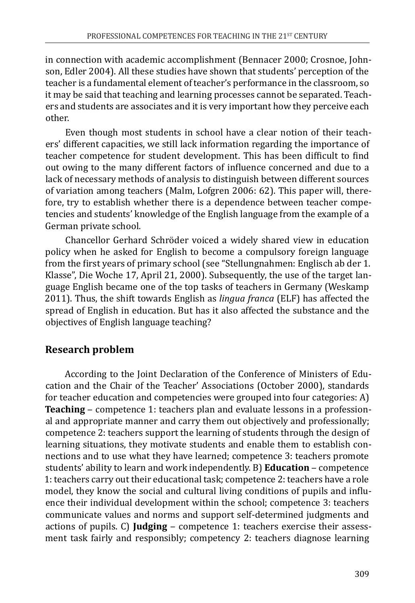in connection with academic accomplishment (Bennacer 2000; Crosnoe, Johnson, Edler 2004). All these studies have shown that students' perception of the teacher is a fundamental element of teacher's performance in the classroom, so it may be said that teaching and learning processes cannot be separated. Teachers and students are associates and it is very important how they perceive each other.

Even though most students in school have a clear notion of their teachers' different capacities, we still lack information regarding the importance of teacher competence for student development. This has been difficult to find out owing to the many different factors of influence concerned and due to a lack of necessary methods of analysis to distinguish between different sources of variation among teachers (Malm, Lofgren 2006: 62). This paper will, therefore, try to establish whether there is a dependence between teacher competencies and students' knowledge of the English language from the example of a German private school.

Chancellor Gerhard Schröder voiced a widely shared view in education policy when he asked for English to become a compulsory foreign language from the first years of primary school (see "Stellungnahmen: Englisch ab der 1. Klasse", Die Woche 17, April 21, 2000). Subsequently, the use of the target language English became one of the top tasks of teachers in Germany (Weskamp 2011). Thus, the shift towards English as *lingua franca* (ELF) has affected the spread of English in education. But has it also affected the substance and the objectives of English language teaching?

#### **Research problem**

According to the Joint Declaration of the Conference of Ministers of Education and the Chair of the Teacher' Associations (October 2000), standards for teacher education and competencies were grouped into four categories: A) **Teaching** – competence 1: teachers plan and evaluate lessons in a professional and appropriate manner and carry them out objectively and professionally; competence 2: teachers support the learning of students through the design of learning situations, they motivate students and enable them to establish connections and to use what they have learned; competence 3: teachers promote students' ability to learn and work independently. B) **Education** – competence 1: teachers carry out their educational task; competence 2: teachers have a role model, they know the social and cultural living conditions of pupils and influence their individual development within the school; competence 3: teachers communicate values and norms and support self-determined judgments and actions of pupils. C) **Judging** – competence 1: teachers exercise their assessment task fairly and responsibly; competency 2: teachers diagnose learning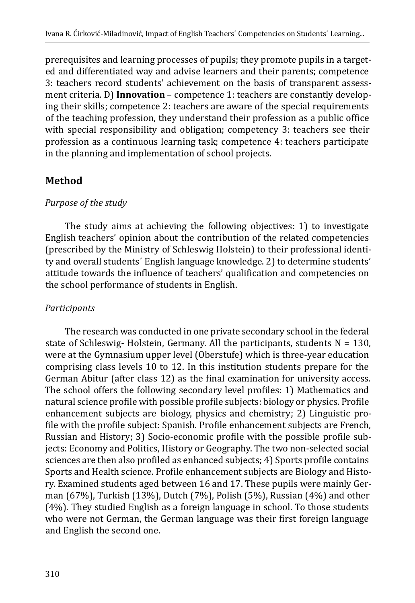prerequisites and learning processes of pupils; they promote pupils in a targeted and differentiated way and advise learners and their parents; competence 3: teachers record students' achievement on the basis of transparent assessment criteria. D) **Innovation** – competence 1: teachers are constantly developing their skills; competence 2: teachers are aware of the special requirements of the teaching profession, they understand their profession as a public office with special responsibility and obligation; competency 3: teachers see their profession as a continuous learning task; competence 4: teachers participate in the planning and implementation of school projects.

## **Method**

#### *Purpose of the study*

The study aims at achieving the following objectives: 1) to investigate English teachers' opinion about the contribution of the related competencies (prescribed by the Ministry of Schleswig Holstein) to their professional identity and overall students´ English language knowledge. 2) to determine students' attitude towards the influence of teachers' qualification and competencies on the school performance of students in English.

## *Participants*

The research was conducted in one private secondary school in the federal state of Schleswig- Holstein, Germany. All the participants, students  $N = 130$ , were at the Gymnasium upper level (Oberstufe) which is three-year education comprising class levels 10 to 12. In this institution students prepare for the German Abitur (after class 12) as the final examination for university access. The school offers the following secondary level profiles: 1) Mathematics and natural science profile with possible profile subjects: biology or physics. Profile enhancement subjects are biology, physics and chemistry; 2) Linguistic profile with the profile subject: Spanish. Profile enhancement subjects are French, Russian and History; 3) Socio-economic profile with the possible profile subjects: Economy and Politics, History or Geography. The two non-selected social sciences are then also profiled as enhanced subjects; 4) Sports profile contains Sports and Health science. Profile enhancement subjects are Biology and History. Examined students aged between 16 and 17. These pupils were mainly German (67%), Turkish (13%), Dutch (7%), Polish (5%), Russian (4%) and other (4%). They studied English as a foreign language in school. To those students who were not German, the German language was their first foreign language and English the second one.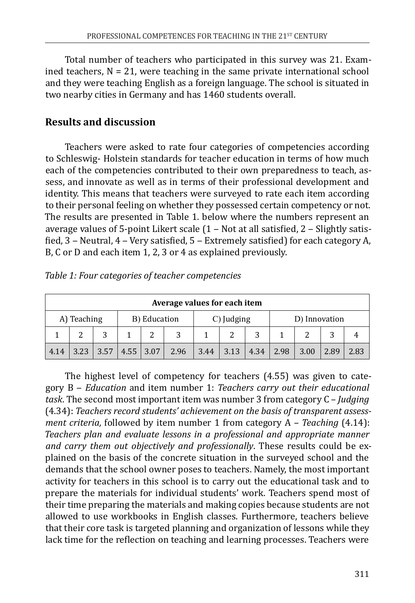Total number of teachers who participated in this survey was 21. Examined teachers,  $N = 21$ , were teaching in the same private international school and they were teaching English as a foreign language. The school is situated in two nearby cities in Germany and has 1460 students overall.

## **Results and discussion**

Teachers were asked to rate four categories of competencies according to Schleswig- Holstein standards for teacher education in terms of how much each of the competencies contributed to their own preparedness to teach, assess, and innovate as well as in terms of their professional development and identity. This means that teachers were surveyed to rate each item according to their personal feeling on whether they possessed certain competency or not. The results are presented in Table 1. below where the numbers represent an average values of 5-point Likert scale  $(1 - Not at all satisfied, 2 - Slightly satisfies)$ fied, 3 – Neutral, 4 – Very satisfied, 5 – Extremely satisfied) for each category A, B, C or D and each item 1, 2, 3 or 4 as explained previously.

| Average values for each item |      |      |             |            |               |      |      |      |      |      |      |      |
|------------------------------|------|------|-------------|------------|---------------|------|------|------|------|------|------|------|
| A) Teaching<br>B) Education  |      |      |             | C) Judging | D) Innovation |      |      |      |      |      |      |      |
|                              |      | 2    |             | ີ          | 3             |      |      | 3    |      | ◠    |      |      |
| 4.14                         | 3.23 | 3.57 | $4.55$ 3.07 |            | 2.96          | 3.44 | 3.13 | 4.34 | 2.98 | 3.00 | 2.89 | 2.83 |

*Table 1: Four categories of teacher competencies*

The highest level of competency for teachers (4.55) was given to category B ‒ *Education* and item number 1: *Teachers carry out their educational task*. The second most important item was number 3 from category C – *Judging* (4.34): *Teachers record students' achievement on the basis of transparent assessment criteria,* followed by item number 1 from category A – *Teaching* (4.14): *Teachers plan and evaluate lessons in a professional and appropriate manner and carry them out objectively and professionally*. These results could be explained on the basis of the concrete situation in the surveyed school and the demands that the school owner poses to teachers. Namely, the most important activity for teachers in this school is to carry out the educational task and to prepare the materials for individual students' work. Teachers spend most of their time preparing the materials and making copies because students are not allowed to use workbooks in English classes. Furthermore, teachers believe that their core task is targeted planning and organization of lessons while they lack time for the reflection on teaching and learning processes. Teachers were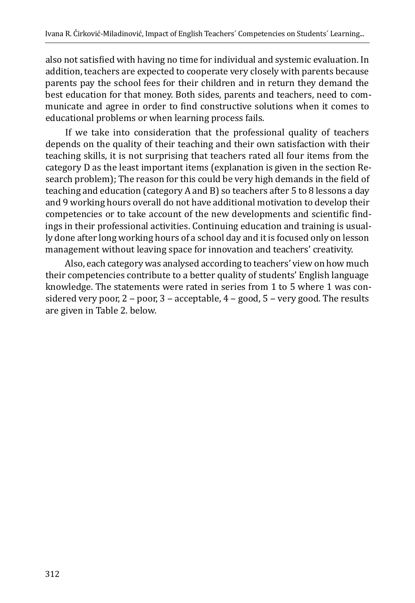also not satisfied with having no time for individual and systemic evaluation. In addition, teachers are expected to cooperate very closely with parents because parents pay the school fees for their children and in return they demand the best education for that money. Both sides, parents and teachers, need to communicate and agree in order to find constructive solutions when it comes to educational problems or when learning process fails.

If we take into consideration that the professional quality of teachers depends on the quality of their teaching and their own satisfaction with their teaching skills, it is not surprising that teachers rated all four items from the category D as the least important items (explanation is given in the section Research problem); The reason for this could be very high demands in the field of teaching and education (category A and B) so teachers after 5 to 8 lessons a day and 9 working hours overall do not have additional motivation to develop their competencies or to take account of the new developments and scientific findings in their professional activities. Continuing education and training is usually done after long working hours of a school day and it is focused only on lesson management without leaving space for innovation and teachers' creativity.

Also, each category was analysed according to teachers' view on how much their competencies contribute to a better quality of students' English language knowledge. The statements were rated in series from 1 to 5 where 1 was considered very poor,  $2$  – poor,  $3$  – acceptable,  $4$  – good,  $5$  – very good. The results are given in Table 2. below.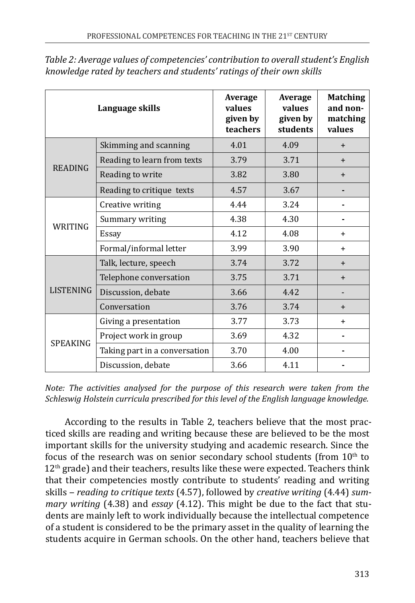|                  | Language skills               | Average<br>values<br>given by<br>teachers | Average<br>values<br>given by<br>students | <b>Matching</b><br>and non-<br>matching<br>values |  |
|------------------|-------------------------------|-------------------------------------------|-------------------------------------------|---------------------------------------------------|--|
|                  | Skimming and scanning         | 4.01                                      | 4.09                                      | $+$                                               |  |
| <b>READING</b>   | Reading to learn from texts   | 3.79                                      | 3.71                                      | $+$                                               |  |
|                  | Reading to write              | 3.82                                      | 3.80                                      | $\ddot{}$                                         |  |
|                  | Reading to critique texts     | 4.57                                      | 3.67                                      |                                                   |  |
| WRITING          | Creative writing              | 4.44                                      | 3.24                                      |                                                   |  |
|                  | Summary writing               | 4.38                                      | 4.30                                      |                                                   |  |
|                  | Essay                         | 4.12                                      | 4.08                                      | $\ddot{}$                                         |  |
|                  | Formal/informal letter        | 3.99                                      | 3.90                                      | $+$                                               |  |
|                  | Talk, lecture, speech         | 3.74                                      | 3.72                                      | $+$                                               |  |
| <b>LISTENING</b> | Telephone conversation        | 3.75                                      | 3.71                                      | $+$                                               |  |
|                  | Discussion, debate            | 3.66                                      | 4.42                                      |                                                   |  |
|                  | Conversation                  | 3.76                                      | 3.74                                      | $+$                                               |  |
| <b>SPEAKING</b>  | Giving a presentation         | 3.77                                      | 3.73                                      | $\ddot{}$                                         |  |
|                  | Project work in group         | 3.69                                      | 4.32                                      |                                                   |  |
|                  | Taking part in a conversation | 3.70                                      | 4.00                                      |                                                   |  |
|                  | Discussion, debate            | 3.66                                      | 4.11                                      |                                                   |  |

*Table 2: Average values of competencies' contribution to overall student's English knowledge rated by teachers and students' ratings of their own skills*

*Note: The activities analysed for the purpose of this research were taken from the Schleswig Holstein curricula prescribed for this level of the English language knowledge.* 

According to the results in Table 2, teachers believe that the most practiced skills are reading and writing because these are believed to be the most important skills for the university studying and academic research. Since the focus of the research was on senior secondary school students (from  $10<sup>th</sup>$  to  $12<sup>th</sup>$  grade) and their teachers, results like these were expected. Teachers think that their competencies mostly contribute to students' reading and writing skills ‒ *reading to critique texts* (4.57), followed by *creative writing* (4.44) *summary writing* (4.38) and *essay* (4.12). This might be due to the fact that students are mainly left to work individually because the intellectual competence of a student is considered to be the primary asset in the quality of learning the students acquire in German schools. On the other hand, teachers believe that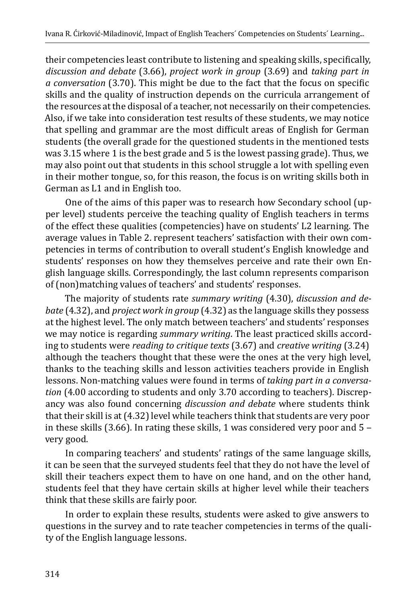their competencies least contribute to listening and speaking skills, specifically, *discussion and debate* (3.66), *project work in group* (3.69) and *taking part in a conversation* (3.70). This might be due to the fact that the focus on specific skills and the quality of instruction depends on the curricula arrangement of the resources at the disposal of a teacher, not necessarily on their competencies. Also, if we take into consideration test results of these students, we may notice that spelling and grammar are the most difficult areas of English for German students (the overall grade for the questioned students in the mentioned tests was 3.15 where 1 is the best grade and 5 is the lowest passing grade). Thus, we may also point out that students in this school struggle a lot with spelling even in their mother tongue, so, for this reason, the focus is on writing skills both in German as L1 and in English too.

One of the aims of this paper was to research how Secondary school (upper level) students perceive the teaching quality of English teachers in terms of the effect these qualities (competencies) have on students' L2 learning. The average values in Table 2. represent teachers' satisfaction with their own competencies in terms of contribution to overall student's English knowledge and students' responses on how they themselves perceive and rate their own English language skills. Correspondingly, the last column represents comparison of (non)matching values of teachers' and students' responses.

The majority of students rate *summary writing* (4.30), *discussion and debate* (4.32), and *project work in group* (4.32) as the language skills they possess at the highest level. The only match between teachers' and students' responses we may notice is regarding *summary writing*. The least practiced skills according to students were *reading to critique texts* (3.67) and *creative writing* (3.24) although the teachers thought that these were the ones at the very high level, thanks to the teaching skills and lesson activities teachers provide in English lessons. Non-matching values were found in terms of *taking part in a conversation* (4.00 according to students and only 3.70 according to teachers). Discrepancy was also found concerning *discussion and debate* where students think that their skill is at (4.32) level while teachers think that students are very poor in these skills (3.66). In rating these skills, 1 was considered very poor and  $5$ very good.

In comparing teachers' and students' ratings of the same language skills, it can be seen that the surveyed students feel that they do not have the level of skill their teachers expect them to have on one hand, and on the other hand, students feel that they have certain skills at higher level while their teachers think that these skills are fairly poor.

In order to explain these results, students were asked to give answers to questions in the survey and to rate teacher competencies in terms of the quality of the English language lessons.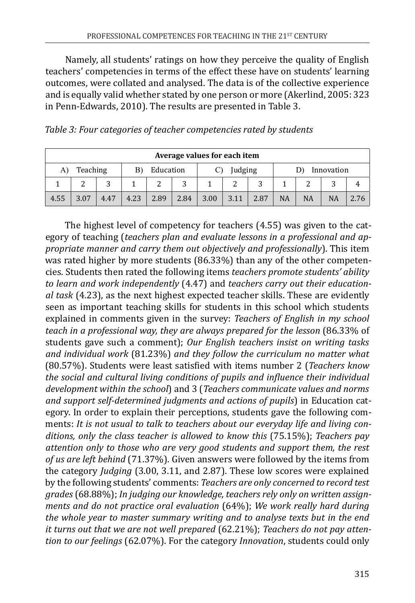Namely, all students' ratings on how they perceive the quality of English teachers' competencies in terms of the effect these have on students' learning outcomes, were collated and analysed. The data is of the collective experience and is equally valid whether stated by one person or more (Akerlind, 2005: 323 in Penn-Edwards, 2010). The results are presented in Table 3.

| Average values for each item |                            |        |         |      |            |      |      |      |           |    |           |   |
|------------------------------|----------------------------|--------|---------|------|------------|------|------|------|-----------|----|-----------|---|
| A)                           | Teaching<br>Education<br>B |        | Judging |      | Innovation |      |      |      |           |    |           |   |
|                              | ຳ                          | ς<br>ت |         | ົາ   | 3          |      | ົ    | 3    |           | ີ  |           | 4 |
| 4.55                         | 3.07                       | 4.47   | 4.23    | 2.89 | 2.84       | 3.00 | 3.11 | 2.87 | <b>NA</b> | NA | <b>NA</b> |   |

| Table 3: Four categories of teacher competencies rated by students |  |  |
|--------------------------------------------------------------------|--|--|
|--------------------------------------------------------------------|--|--|

The highest level of competency for teachers (4.55) was given to the category of teaching (*teachers plan and evaluate lessons in a professional and appropriate manner and carry them out objectively and professionally*). This item was rated higher by more students (86.33%) than any of the other competencies. Students then rated the following items *teachers promote students' ability to learn and work independently* (4.47) and *teachers carry out their educational task* (4.23), as the next highest expected teacher skills. These are evidently seen as important teaching skills for students in this school which students explained in comments given in the survey: *Teachers of English in my school teach in a professional way, they are always prepared for the lesson* (86.33% of students gave such a comment); *Our English teachers insist on writing tasks and individual work* (81.23%) *and they follow the curriculum no matter what* (80.57%). Students were least satisfied with items number 2 (*Teachers know the social and cultural living conditions of pupils and influence their individual development within the school*) and 3 (*Teachers communicate values and norms and support self-determined judgments and actions of pupils*) in Education category. In order to explain their perceptions, students gave the following comments: *It is not usual to talk to teachers about our everyday life and living conditions, only the class teacher is allowed to know this* (75.15%); *Teachers pay attention only to those who are very good students and support them, the rest of us are left behind* (71.37%). Given answers were followed by the items from the category *Judging* (3.00, 3.11, and 2.87). These low scores were explained by the following students' comments: *Teachers are only concerned to record test grades* (68.88%); *In judging our knowledge, teachers rely only on written assignments and do not practice oral evaluation* (64%); *We work really hard during the whole year to master summary writing and to analyse texts but in the end it turns out that we are not well prepared* (62.21%); *Teachers do not pay attention to our feelings* (62.07%). For the category *Innovation*, students could only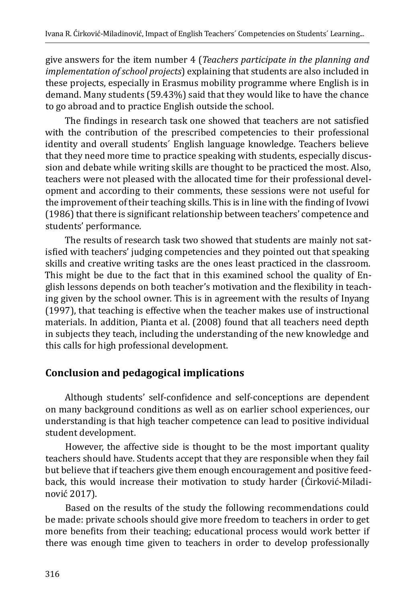give answers for the item number 4 (*Teachers participate in the planning and implementation of school projects*) explaining that students are also included in these projects, especially in Erasmus mobility programme where English is in demand. Many students (59.43%) said that they would like to have the chance to go abroad and to practice English outside the school.

The findings in research task one showed that teachers are not satisfied with the contribution of the prescribed competencies to their professional identity and overall students´ English language knowledge. Teachers believe that they need more time to practice speaking with students, especially discussion and debate while writing skills are thought to be practiced the most. Also, teachers were not pleased with the allocated time for their professional development and according to their comments, these sessions were not useful for the improvement of their teaching skills. This is in line with the finding of Ivowi (1986) that there is significant relationship between teachers' competence and students' performance.

The results of research task two showed that students are mainly not satisfied with teachers' judging competencies and they pointed out that speaking skills and creative writing tasks are the ones least practiced in the classroom. This might be due to the fact that in this examined school the quality of English lessons depends on both teacher's motivation and the flexibility in teaching given by the school owner. This is in agreement with the results of Inyang (1997), that teaching is effective when the teacher makes use of instructional materials. In addition, Pianta et al. (2008) found that all teachers need depth in subjects they teach, including the understanding of the new knowledge and this calls for high professional development.

# **Conclusion and pedagogical implications**

Although students' self-confidence and self-conceptions are dependent on many background conditions as well as on earlier school experiences, our understanding is that high teacher competence can lead to positive individual student development.

However, the affective side is thought to be the most important quality teachers should have. Students accept that they are responsible when they fail but believe that if teachers give them enough encouragement and positive feedback, this would increase their motivation to study harder (Ćirković-Miladinović 2017).

Based on the results of the study the following recommendations could be made: private schools should give more freedom to teachers in order to get more benefits from their teaching; educational process would work better if there was enough time given to teachers in order to develop professionally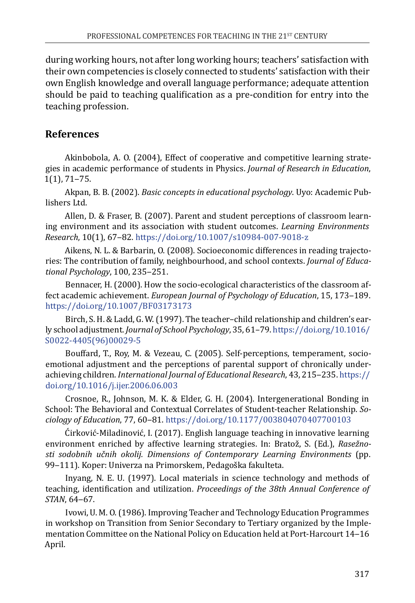during working hours, not after long working hours; teachers' satisfaction with their own competencies is closely connected to students' satisfaction with their own English knowledge and overall language performance; adequate attention should be paid to teaching qualification as a pre-condition for entry into the teaching profession.

#### **References**

Akinbobola, A. O. (2004), Effect of cooperative and competitive learning strategies in academic performance of students in Physics. *Journal of Research in Education*,  $1(1)$ , 71–75.

Akpan, B. B. (2002). *Basic concepts in educational psychology*. Uyo: Academic Publishers Ltd.

Allen, D. & Fraser, B. (2007). Parent and student perceptions of classroom learning environment and its association with student outcomes. *Learning Environments Research*, 10(1), 67‒82. <https://doi.org/10.1007/s10984-007-9018-z>

Aikens, N. L. & Barbarin, O. (2008). Socioeconomic differences in reading trajectories: The contribution of family, neighbourhood, and school contexts. *Journal of Educational Psychology*, 100, 235‒251.

Bennacer, H. (2000). How the socio-ecological characteristics of the classroom affect academic achievement. *European Journal of Psychology of Education*, 15, 173-189. <https://doi.org/10.1007/BF03173173>

Birch, S. H. & Ladd, G. W. (1997). The teacher–child relationship and children's early school adjustment. *Journal of School Psychology*, 35, 61–79. [https://doi.org/10.1016/](https://doi.org/10.1016/S0022-4405%2896%2900029-5) [S0022-4405\(96\)00029-5](https://doi.org/10.1016/S0022-4405%2896%2900029-5)

Bouffard, T., Roy, M. & Vezeau, C. (2005). Self-perceptions, temperament, socioemotional adjustment and the perceptions of parental support of chronically underachieving children. *International Journal of Educational Research*, 43, 215-235. [https://](https://doi.org/10.1016/j.ijer.2006.06.003) [doi.org/10.1016/j.ijer.2006.06.003](https://doi.org/10.1016/j.ijer.2006.06.003)

Crosnoe, R., Johnson, M. K. & Elder, G. H. (2004). Intergenerational Bonding in School: The Behavioral and Contextual Correlates of Student-teacher Relationship. *Sociology of Education*, 77, 60‒81.<https://doi.org/10.1177/003804070407700103>

Ćirković-Miladinović, I. (2017). English language teaching in innovative learning environment enriched by affective learning strategies. In: Bratož, S. (Ed.), *Rasežnosti sodobnih učnih okolij. Dimensions of Contemporary Learning Environments* (pp. 99–111). Koper: Univerza na Primorskem, Pedagoška fakulteta.

Inyang, N. E. U. (1997). Local materials in science technology and methods of teaching, identification and utilization. *Proceedings of the 38th Annual Conference of STAN*, 64‒67.

Ivowi, U. M. O. (1986). Improving Teacher and Technology Education Programmes in workshop on Transition from Senior Secondary to Tertiary organized by the Implementation Committee on the National Policy on Education held at Port-Harcourt 14-16 April.